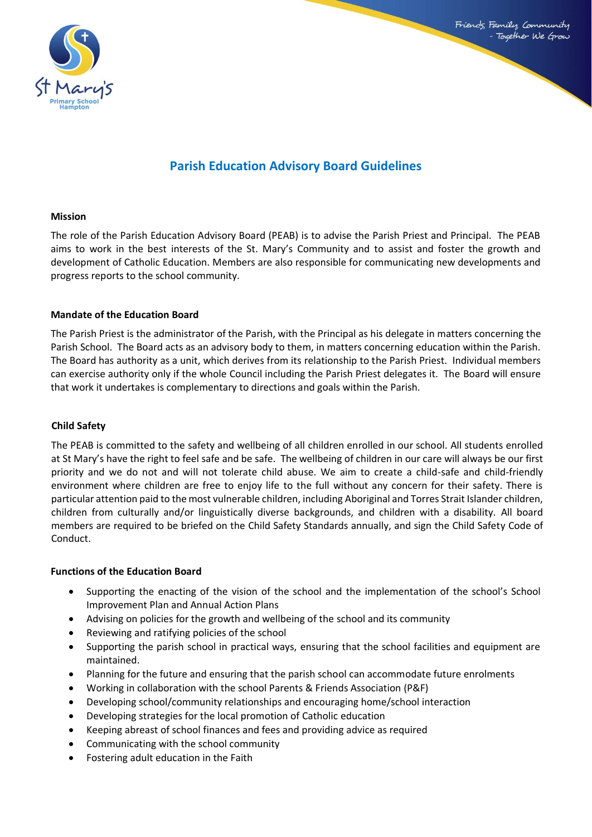

# **Parish Education Advisory Board Guidelines**

#### **Mission**

The role of the Parish Education Advisory Board (PEAB) is to advise the Parish Priest and Principal. The PEAB aims to work in the best interests of the St. Mary's Community and to assist and foster the growth and development of Catholic Education. Members are also responsible for communicating new developments and progress reports to the school community.

## **Mandate of the Education Board**

The Parish Priest is the administrator of the Parish, with the Principal as his delegate in matters concerning the Parish School. The Board acts as an advisory body to them, in matters concerning education within the Parish. The Board has authority as a unit, which derives from its relationship to the Parish Priest. Individual members can exercise authority only if the whole Council including the Parish Priest delegates it. The Board will ensure that work it undertakes is complementary to directions and goals within the Parish.

# **Child Safety**

The PEAB is committed to the safety and wellbeing of all children enrolled in our school. All students enrolled at St Mary's have the right to feel safe and be safe. The wellbeing of children in our care will always be our first priority and we do not and will not tolerate child abuse. We aim to create a child-safe and child-friendly environment where children are free to enjoy life to the full without any concern for their safety. There is particular attention paid to the most vulnerable children, including Aboriginal and Torres Strait Islander children, children from culturally and/or linguistically diverse backgrounds, and children with a disability. All board members are required to be briefed on the Child Safety Standards annually, and sign the Child Safety Code of Conduct.

#### **Functions of the Education Board**

- Supporting the enacting of the vision of the school and the implementation of the school's School Improvement Plan and Annual Action Plans
- Advising on policies for the growth and wellbeing of the school and its community
- Reviewing and ratifying policies of the school
- Supporting the parish school in practical ways, ensuring that the school facilities and equipment are maintained.
- Planning for the future and ensuring that the parish school can accommodate future enrolments
- Working in collaboration with the school Parents & Friends Association (P&F)
- Developing school/community relationships and encouraging home/school interaction
- Developing strategies for the local promotion of Catholic education
- Keeping abreast of school finances and fees and providing advice as required
- Communicating with the school community
- Fostering adult education in the Faith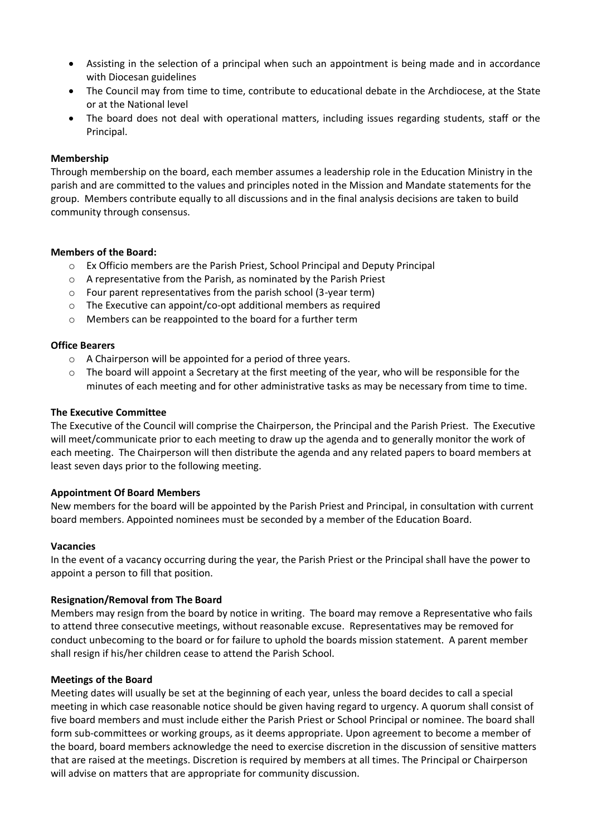- Assisting in the selection of a principal when such an appointment is being made and in accordance with Diocesan guidelines
- The Council may from time to time, contribute to educational debate in the Archdiocese, at the State or at the National level
- The board does not deal with operational matters, including issues regarding students, staff or the Principal.

#### **Membership**

Through membership on the board, each member assumes a leadership role in the Education Ministry in the parish and are committed to the values and principles noted in the Mission and Mandate statements for the group. Members contribute equally to all discussions and in the final analysis decisions are taken to build community through consensus.

## **Members of the Board:**

- o Ex Officio members are the Parish Priest, School Principal and Deputy Principal
- o A representative from the Parish, as nominated by the Parish Priest
- o Four parent representatives from the parish school (3-year term)
- o The Executive can appoint/co-opt additional members as required
- o Members can be reappointed to the board for a further term

#### **Office Bearers**

- o A Chairperson will be appointed for a period of three years.
- $\circ$  The board will appoint a Secretary at the first meeting of the year, who will be responsible for the minutes of each meeting and for other administrative tasks as may be necessary from time to time.

#### **The Executive Committee**

The Executive of the Council will comprise the Chairperson, the Principal and the Parish Priest. The Executive will meet/communicate prior to each meeting to draw up the agenda and to generally monitor the work of each meeting. The Chairperson will then distribute the agenda and any related papers to board members at least seven days prior to the following meeting.

#### **Appointment Of Board Members**

New members for the board will be appointed by the Parish Priest and Principal, in consultation with current board members. Appointed nominees must be seconded by a member of the Education Board.

#### **Vacancies**

In the event of a vacancy occurring during the year, the Parish Priest or the Principal shall have the power to appoint a person to fill that position.

#### **Resignation/Removal from The Board**

Members may resign from the board by notice in writing. The board may remove a Representative who fails to attend three consecutive meetings, without reasonable excuse. Representatives may be removed for conduct unbecoming to the board or for failure to uphold the boards mission statement. A parent member shall resign if his/her children cease to attend the Parish School.

#### **Meetings of the Board**

Meeting dates will usually be set at the beginning of each year, unless the board decides to call a special meeting in which case reasonable notice should be given having regard to urgency. A quorum shall consist of five board members and must include either the Parish Priest or School Principal or nominee. The board shall form sub-committees or working groups, as it deems appropriate. Upon agreement to become a member of the board, board members acknowledge the need to exercise discretion in the discussion of sensitive matters that are raised at the meetings. Discretion is required by members at all times. The Principal or Chairperson will advise on matters that are appropriate for community discussion.